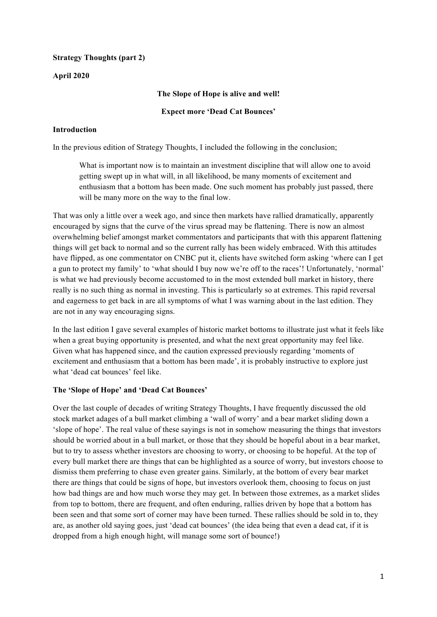# **Strategy Thoughts (part 2)**

# **April 2020**

# **The Slope of Hope is alive and well!**

#### **Expect more 'Dead Cat Bounces'**

# **Introduction**

In the previous edition of Strategy Thoughts, I included the following in the conclusion;

What is important now is to maintain an investment discipline that will allow one to avoid getting swept up in what will, in all likelihood, be many moments of excitement and enthusiasm that a bottom has been made. One such moment has probably just passed, there will be many more on the way to the final low.

That was only a little over a week ago, and since then markets have rallied dramatically, apparently encouraged by signs that the curve of the virus spread may be flattening. There is now an almost overwhelming belief amongst market commentators and participants that with this apparent flattening things will get back to normal and so the current rally has been widely embraced. With this attitudes have flipped, as one commentator on CNBC put it, clients have switched form asking 'where can I get a gun to protect my family' to 'what should I buy now we're off to the races'! Unfortunately, 'normal' is what we had previously become accustomed to in the most extended bull market in history, there really is no such thing as normal in investing. This is particularly so at extremes. This rapid reversal and eagerness to get back in are all symptoms of what I was warning about in the last edition. They are not in any way encouraging signs.

In the last edition I gave several examples of historic market bottoms to illustrate just what it feels like when a great buying opportunity is presented, and what the next great opportunity may feel like. Given what has happened since, and the caution expressed previously regarding 'moments of excitement and enthusiasm that a bottom has been made', it is probably instructive to explore just what 'dead cat bounces' feel like.

#### **The 'Slope of Hope' and 'Dead Cat Bounces'**

Over the last couple of decades of writing Strategy Thoughts, I have frequently discussed the old stock market adages of a bull market climbing a 'wall of worry' and a bear market sliding down a 'slope of hope'. The real value of these sayings is not in somehow measuring the things that investors should be worried about in a bull market, or those that they should be hopeful about in a bear market, but to try to assess whether investors are choosing to worry, or choosing to be hopeful. At the top of every bull market there are things that can be highlighted as a source of worry, but investors choose to dismiss them preferring to chase even greater gains. Similarly, at the bottom of every bear market there are things that could be signs of hope, but investors overlook them, choosing to focus on just how bad things are and how much worse they may get. In between those extremes, as a market slides from top to bottom, there are frequent, and often enduring, rallies driven by hope that a bottom has been seen and that some sort of corner may have been turned. These rallies should be sold in to, they are, as another old saying goes, just 'dead cat bounces' (the idea being that even a dead cat, if it is dropped from a high enough hight, will manage some sort of bounce!)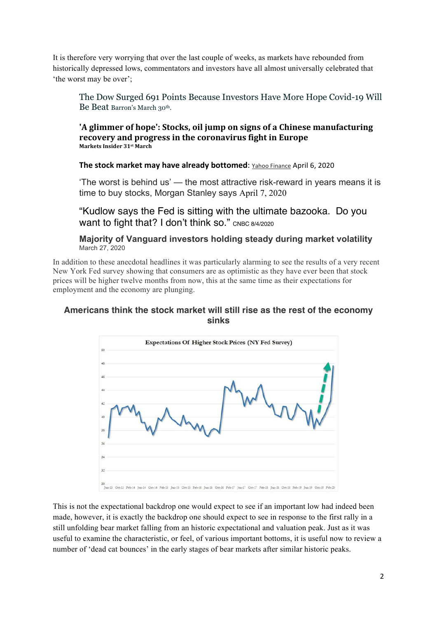It is therefore very worrying that over the last couple of weeks, as markets have rebounded from historically depressed lows, commentators and investors have all almost universally celebrated that 'the worst may be over';

The Dow Surged 691 Points Because Investors Have More Hope Covid-19 Will Be Beat Barron's March 30<sup>th</sup>.

**'A** glimmer of hope': Stocks, oil jump on signs of a Chinese manufacturing recovery and progress in the coronavirus fight in Europe **Markets Insider 31st March** 

**The stock market may have already bottomed:** Yahoo Finance April 6, 2020

'The worst is behind us' — the most attractive risk-reward in years means it is time to buy stocks, Morgan Stanley says April 7, 2020

"Kudlow says the Fed is sitting with the ultimate bazooka. Do you Want to fight that? I don't think so." CNBC 8/4/2020

**Majority of Vanguard investors holding steady during market volatility** March 27, 2020

In addition to these anecdotal headlines it was particularly alarming to see the results of a very recent New York Fed survey showing that consumers are as optimistic as they have ever been that stock prices will be higher twelve months from now, this at the same time as their expectations for employment and the economy are plunging.

# **Americans think the stock market will still rise as the rest of the economy sinks**



This is not the expectational backdrop one would expect to see if an important low had indeed been made, however, it is exactly the backdrop one should expect to see in response to the first rally in a still unfolding bear market falling from an historic expectational and valuation peak. Just as it was useful to examine the characteristic, or feel, of various important bottoms, it is useful now to review a number of 'dead cat bounces' in the early stages of bear markets after similar historic peaks.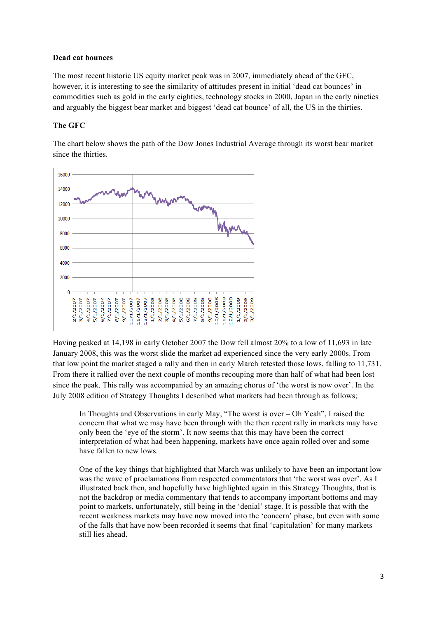### **Dead cat bounces**

The most recent historic US equity market peak was in 2007, immediately ahead of the GFC, however, it is interesting to see the similarity of attitudes present in initial 'dead cat bounces' in commodities such as gold in the early eighties, technology stocks in 2000, Japan in the early nineties and arguably the biggest bear market and biggest 'dead cat bounce' of all, the US in the thirties.

# **The GFC**

The chart below shows the path of the Dow Jones Industrial Average through its worst bear market since the thirties.



Having peaked at 14,198 in early October 2007 the Dow fell almost 20% to a low of 11,693 in late January 2008, this was the worst slide the market ad experienced since the very early 2000s. From that low point the market staged a rally and then in early March retested those lows, falling to 11,731. From there it rallied over the next couple of months recouping more than half of what had been lost since the peak. This rally was accompanied by an amazing chorus of 'the worst is now over'. In the July 2008 edition of Strategy Thoughts I described what markets had been through as follows;

In Thoughts and Observations in early May, "The worst is over – Oh Yeah", I raised the concern that what we may have been through with the then recent rally in markets may have only been the 'eye of the storm'. It now seems that this may have been the correct interpretation of what had been happening, markets have once again rolled over and some have fallen to new lows.

One of the key things that highlighted that March was unlikely to have been an important low was the wave of proclamations from respected commentators that 'the worst was over'. As I illustrated back then, and hopefully have highlighted again in this Strategy Thoughts, that is not the backdrop or media commentary that tends to accompany important bottoms and may point to markets, unfortunately, still being in the 'denial' stage. It is possible that with the recent weakness markets may have now moved into the 'concern' phase, but even with some of the falls that have now been recorded it seems that final 'capitulation' for many markets still lies ahead.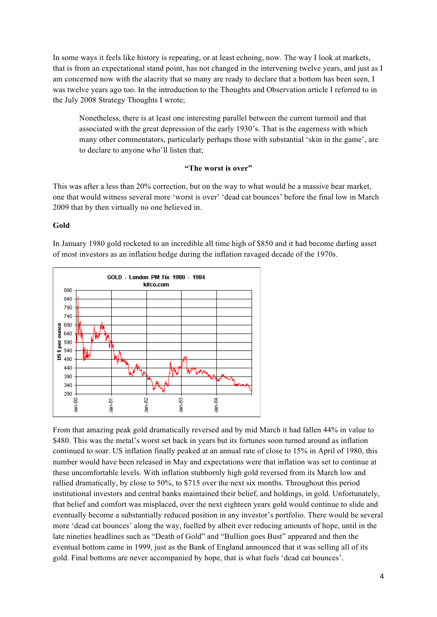In some ways it feels like history is repeating, or at least echoing, now. The way I look at markets, that is from an expectational stand point, has not changed in the intervening twelve years, and just as I am concerned now with the alacrity that so many are ready to declare that a bottom has been seen, I was twelve years ago too. In the introduction to the Thoughts and Observation article I referred to in the July 2008 Strategy Thoughts I wrote;

Nonetheless, there is at least one interesting parallel between the current turmoil and that associated with the great depression of the early 1930's. That is the eagerness with which many other commentators, particularly perhaps those with substantial 'skin in the game', are to declare to anyone who'll listen that;

# **"The worst is over"**

This was after a less than 20% correction, but on the way to what would be a massive bear market, one that would witness several more 'worst is over' 'dead cat bounces' before the final low in March 2009 that by then virtually no one believed in.

### **Gold**



In January 1980 gold rocketed to an incredible all time high of \$850 and it had become darling asset of most investors as an inflation hedge during the inflation ravaged decade of the 1970s.

From that amazing peak gold dramatically reversed and by mid March it had fallen 44% in value to \$480. This was the metal's worst set back in years but its fortunes soon turned around as inflation continued to soar. US inflation finally peaked at an annual rate of close to 15% in April of 1980, this number would have been released in May and expectations were that inflation was set to continue at these uncomfortable levels. With inflation stubbornly high gold reversed from its March low and rallied dramatically, by close to 50%, to \$715 over the next six months. Throughout this period institutional investors and central banks maintained their belief, and holdings, in gold. Unfortunately, that belief and comfort was misplaced, over the next eighteen years gold would continue to slide and eventually become a substantially reduced position in any investor's portfolio. There would be several more 'dead cat bounces' along the way, fuelled by albeit ever reducing amounts of hope, until in the late nineties headlines such as "Death of Gold" and "Bullion goes Bust" appeared and then the eventual bottom came in 1999, just as the Bank of England announced that it was selling all of its gold. Final bottoms are never accompanied by hope, that is what fuels 'dead cat bounces'.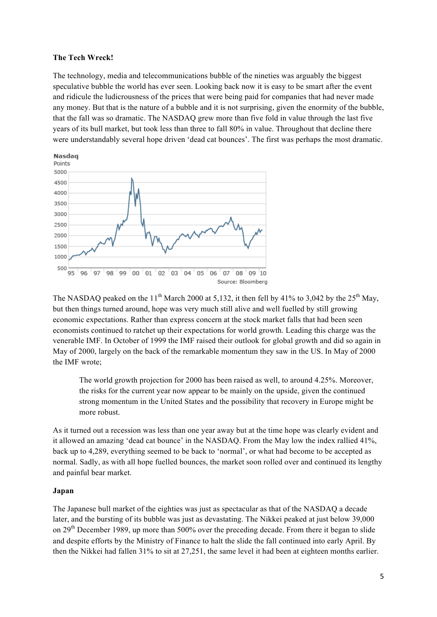#### **The Tech Wreck!**

The technology, media and telecommunications bubble of the nineties was arguably the biggest speculative bubble the world has ever seen. Looking back now it is easy to be smart after the event and ridicule the ludicrousness of the prices that were being paid for companies that had never made any money. But that is the nature of a bubble and it is not surprising, given the enormity of the bubble, that the fall was so dramatic. The NASDAQ grew more than five fold in value through the last five years of its bull market, but took less than three to fall 80% in value. Throughout that decline there were understandably several hope driven 'dead cat bounces'. The first was perhaps the most dramatic.



The NASDAQ peaked on the 11<sup>th</sup> March 2000 at 5,132, it then fell by 41% to 3,042 by the 25<sup>th</sup> May, but then things turned around, hope was very much still alive and well fuelled by still growing economic expectations. Rather than express concern at the stock market falls that had been seen economists continued to ratchet up their expectations for world growth. Leading this charge was the venerable IMF. In October of 1999 the IMF raised their outlook for global growth and did so again in May of 2000, largely on the back of the remarkable momentum they saw in the US. In May of 2000 the IMF wrote;

The world growth projection for 2000 has been raised as well, to around 4.25%. Moreover, the risks for the current year now appear to be mainly on the upside, given the continued strong momentum in the United States and the possibility that recovery in Europe might be more robust.

As it turned out a recession was less than one year away but at the time hope was clearly evident and it allowed an amazing 'dead cat bounce' in the NASDAQ. From the May low the index rallied 41%, back up to 4,289, everything seemed to be back to 'normal', or what had become to be accepted as normal. Sadly, as with all hope fuelled bounces, the market soon rolled over and continued its lengthy and painful bear market.

#### **Japan**

The Japanese bull market of the eighties was just as spectacular as that of the NASDAQ a decade later, and the bursting of its bubble was just as devastating. The Nikkei peaked at just below 39,000 on 29<sup>th</sup> December 1989, up more than 500% over the preceding decade. From there it began to slide and despite efforts by the Ministry of Finance to halt the slide the fall continued into early April. By then the Nikkei had fallen 31% to sit at 27,251, the same level it had been at eighteen months earlier.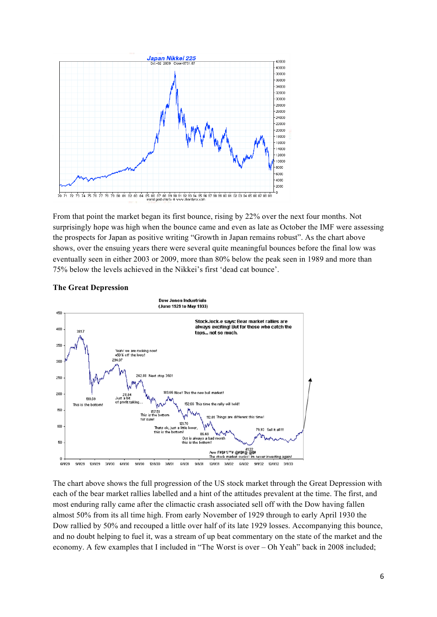

From that point the market began its first bounce, rising by 22% over the next four months. Not surprisingly hope was high when the bounce came and even as late as October the IMF were assessing the prospects for Japan as positive writing "Growth in Japan remains robust". As the chart above shows, over the ensuing years there were several quite meaningful bounces before the final low was eventually seen in either 2003 or 2009, more than 80% below the peak seen in 1989 and more than 75% below the levels achieved in the Nikkei's first 'dead cat bounce'.

#### **The Great Depression**



The chart above shows the full progression of the US stock market through the Great Depression with each of the bear market rallies labelled and a hint of the attitudes prevalent at the time. The first, and most enduring rally came after the climactic crash associated sell off with the Dow having fallen almost 50% from its all time high. From early November of 1929 through to early April 1930 the Dow rallied by 50% and recouped a little over half of its late 1929 losses. Accompanying this bounce, and no doubt helping to fuel it, was a stream of up beat commentary on the state of the market and the economy. A few examples that I included in "The Worst is over – Oh Yeah" back in 2008 included;